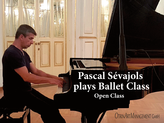# **Pascal Sévajols plays Ballet Class Open Class**

OTRINARTMANAGEMENT GMBH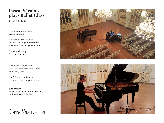### **Pascal Sévajols plays Ballet Class Open Class**

Komposition und Piano **Pascal Sévajols**

Ausführender Produzent **OtrinArtManagement GmbH** www.otrinartmanagement.com

Aufnahmeleitung **Alysson Rocha**

Alle Rechte vorbehalten © OtrinArtManagement GmbH München, 2021

Die CD wurde auf einem Steinway-Flügel aufgenommen

**Wir danken** Bojana Nenadović, Emilie Sévajols und Andreas Kahlenbach

OTRINARTMANAGEMENT GMBH



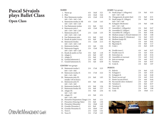## **Pascal Sévajols plays Ballet Class**

**Open Class**

#### **BARRE**

| 1.  | Warm up                            | 4/4 | 16x8 | 3:21 |
|-----|------------------------------------|-----|------|------|
| 2.  | Pliés                              | 4/4 | 16x8 | 3:46 |
| 3.  | Slow Battements tendus             | 4/4 | 12x8 | 2:18 |
|     | $4x8 + 2x8 + 4x8 + 2x8$            |     |      |      |
| 4.  | Battements tendus in 5th           | 4/4 | 12x8 | 1:43 |
|     | $4x8 + 2x8 + 4x8 + 2x8$            |     |      |      |
| 5.  | <b>Fast Battements tendus</b>      | 2/4 | 8x8  | 0:41 |
| 6.  | Battements jetés I.                | 6/8 | 12x8 | 1:28 |
|     | $4x8 + 2x8 + 4x8 + 2x8$            |     |      |      |
| 7.  | Battements jetés II.               | 2/4 | 12x8 | 1:35 |
|     | $4x8 + 4x8 + 2x8 + 2x8$            |     |      |      |
| 8.  | Fast Battements jetés              | 2/4 | 8x8  | 0:42 |
| 9.  | Ronds de jambe à terre             | 4/4 | 8x8  | 2:06 |
| 10. | Battements fondus                  | 3/4 | 12x8 | 2:13 |
|     | $4x8 + 2x8 + 4x8 + 2x8$            |     |      |      |
|     | 11. Battements fondus              | 4/4 | 4x8  | 1:04 |
|     | 12. Battements frappés             | 2/4 | 12x8 | 1:29 |
|     | $4x8 + 2x8 + 4x8 + 2x8$            |     |      |      |
|     | 13. Ronds de jambe en l'air        | 3/4 | 8x8  | 1:18 |
|     | 14. Adagio I.                      | 4/4 | 8x8  | 2:07 |
|     | 15. Adagio II.                     | 3/4 | 8x8  | 1:39 |
|     | 16. Grands battements I.           | 2/4 | 4x8  | 0:51 |
| 17. | Grands battements II.              | 3/4 | 4x8  | 0:39 |
|     | <b>CENTER</b> *two groups          |     |      |      |
| 18. | Battements tendus I.               | 2/4 | 17x8 | 2:23 |
|     | $8x8 + 1x8 + 8x8$                  |     |      |      |
| 19. | Battements tendus II.              | 3/4 | 17x8 | 2:22 |
|     | $8x8 + 1x8 + 8x8$                  |     |      |      |
| 20. | Battements jetés III.              | 2/4 | 8x8  | 1:05 |
|     | manjka 1x8 na koncu                |     |      |      |
| 21. | Battements jetés IV.               | 6/8 | 9x8  | 1:04 |
|     | $4x8 + 1x8 + 4x8$                  |     |      |      |
|     | 22. Battements fondus II.          | 4/4 | 8x8  | 1:56 |
|     | 23. Battements fondus III.         | 3/4 | 8x8  | 1:37 |
| 24. | Adagio III.                        | 3/4 | 9x8  | 2:36 |
|     | $4x8 + 1x8 + 4x8$                  |     |      |      |
| 25. | Adagio IV.                         | 4/4 | 9x8  | 2:31 |
|     | $4x8 + 1x8 + 4x8$                  |     |      |      |
| 26. | Pirouettes Preparation (Tango) 2/4 |     | 8x8  | 1:11 |
|     | 27. Pirouettes (Dancing Valse)     | 3/4 | 8x8  | 1:30 |
|     | 28. Pirouettes (Mazurka)           | 3/4 | 10x8 | 1:43 |
|     | 29. Grandes Pirouettes I.          | 4/4 | 8x8  | 1:20 |
|     |                                    |     |      |      |
|     | 30. Grandes Pirouettes II.         | 3/4 | 10x8 | 1:47 |
| 31. | Tours I.                           | 2/4 | 12x8 | 1:32 |
| 32. | Tours II.                          | 3/4 | 17x8 | 1:45 |

#### **JUMPS** \*two groups **POINTS** 33. Small jumps I. (Allegretto) 2/4 9x8 0:55  $4x8 + 1x8 + 4x8$ 34. Changements de pieds (fast)  $2/4$  8x8 0:31<br>35. Small jumps II. (Alleero)  $2/4$  9x8 0:46 35. Small jumps II. (Allegro)  $4x8 + 1x8 + 4x8$ 36. Echappés (Moderato) 2/4 9x8 1:00  $4x8 + 1x8 + 4x8$ 37. Assemblés I. (Allegretto) 2/4 8x8 0:47 38. Assemblés II. (Allegro) 2/4 8x8 0:43 39. Assemblés III. (Allegro) 3/4 8x8 0:46 40. Medium jumps I. (French batterie)  $\frac{2}{4}$  8x8 1:00<br>41. Medium jumps II. (Moderato) 3/4 8x8 0:55 41. Medium jumps II. (Moderato) 3/4 8x8 42. Medium jumps III. 4/4 8x8 1:05 43. Big jumps I. 3/4 4x8 0:41 44. Big jumps II. 3/4 8x8 1:17 45. Coda I. 2/4 8x8 0:59 46. Double tours I. 4/4 4x8 0:37 47. Double tours II. 3/4 4x8 0:43 48. Entrechats six  $6/8$  4x8  $0:34$ <br>49. Assemblés en tournant  $3/4$  4x8  $0:43$ 49. Assemblés en tournant 3/4 4x8 50. Jetés en manege 3/4 4x8 0:37 51. Variation 3/4 4x8 0:47 52. Coda II. 2/4 8x8 1:07 53. Relevés 2/4 8x8 1:22 54. Echappés I. 2/4 4x8 0:43 55. Echappés II. 2/4 4x8 0:40 56. Passés (accent up) 2/4 4x8 0:45 57. Passés (accent down) 2/4 4x8 0:44 58. Pas marché (slow Andante) 2/4 4x8 1:07 59. Variation I. 2/4 8x8 0:37 60. Variation II. 3/4 8x8 1:24 61. Tours III. 2/4 8x8 1:08 62. Coda 2/4 10x8 1:11



# OTRINARTMANAGEMENT GMBH